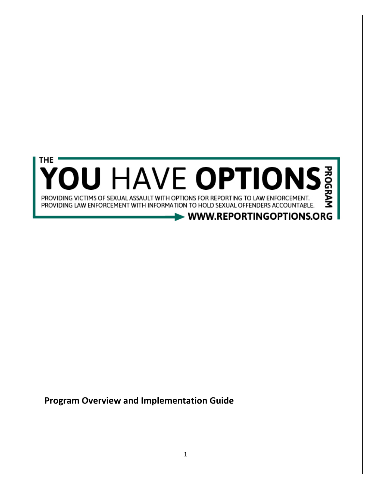

**Program Overview and Implementation Guide**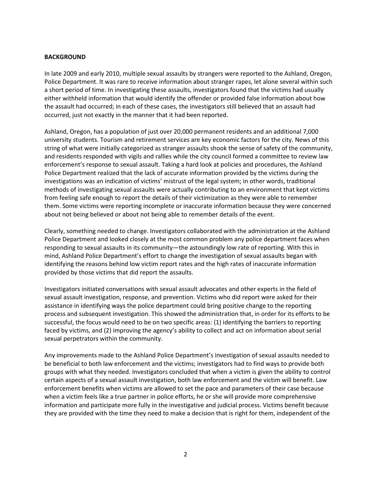### **BACKGROUND**

In late 2009 and early 2010, multiple sexual assaults by strangers were reported to the Ashland, Oregon, Police Department. It was rare to receive information about stranger rapes, let alone several within such a short period of time. In investigating these assaults, investigators found that the victims had usually either withheld information that would identify the offender or provided false information about how the assault had occurred; in each of these cases, the investigators still believed that an assault had occurred, just not exactly in the manner that it had been reported.

Ashland, Oregon, has a population of just over 20,000 permanent residents and an additional 7,000 university students. Tourism and retirement services are key economic factors for the city. News of this string of what were initially categorized as stranger assaults shook the sense of safety of the community, and residents responded with vigils and rallies while the city council formed a committee to review law enforcement's response to sexual assault. Taking a hard look at policies and procedures, the Ashland Police Department realized that the lack of accurate information provided by the victims during the investigations was an indication of victims' mistrust of the legal system; in other words, traditional methods of investigating sexual assaults were actually contributing to an environment that kept victims from feeling safe enough to report the details of their victimization as they were able to remember them. Some victims were reporting incomplete or inaccurate information because they were concerned about not being believed or about not being able to remember details of the event.

Clearly, something needed to change. Investigators collaborated with the administration at the Ashland Police Department and looked closely at the most common problem any police department faces when responding to sexual assaults in its community—the astoundingly low rate of reporting. With this in mind, Ashland Police Department's effort to change the investigation of sexual assaults began with identifying the reasons behind low victim report rates and the high rates of inaccurate information provided by those victims that did report the assaults.

Investigators initiated conversations with sexual assault advocates and other experts in the field of sexual assault investigation, response, and prevention. Victims who did report were asked for their assistance in identifying ways the police department could bring positive change to the reporting process and subsequent investigation. This showed the administration that, in order for its efforts to be successful, the focus would need to be on two specific areas: (1) identifying the barriers to reporting faced by victims, and (2) improving the agency's ability to collect and act on information about serial sexual perpetrators within the community.

Any improvements made to the Ashland Police Department's investigation of sexual assaults needed to be beneficial to both law enforcement and the victims; investigators had to find ways to provide both groups with what they needed. Investigators concluded that when a victim is given the ability to control certain aspects of a sexual assault investigation, both law enforcement and the victim will benefit. Law enforcement benefits when victims are allowed to set the pace and parameters of their case because when a victim feels like a true partner in police efforts, he or she will provide more comprehensive information and participate more fully in the investigative and judicial process. Victims benefit because they are provided with the time they need to make a decision that is right for them, independent of the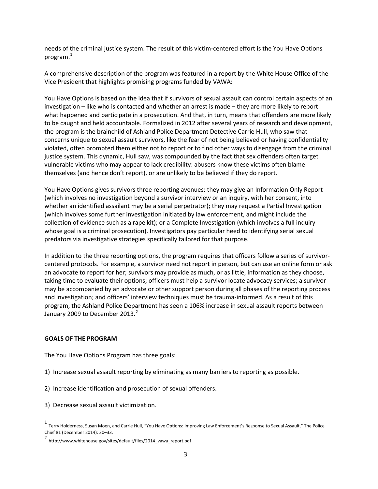needs of the criminal justice system. The result of this victim-centered effort is the You Have Options program.[1](#page-2-0)

A comprehensive description of the program was featured in a report by the White House Office of the Vice President that highlights promising programs funded by VAWA:

You Have Options is based on the idea that if survivors of sexual assault can control certain aspects of an investigation – like who is contacted and whether an arrest is made – they are more likely to report what happened and participate in a prosecution. And that, in turn, means that offenders are more likely to be caught and held accountable. Formalized in 2012 after several years of research and development, the program is the brainchild of Ashland Police Department Detective Carrie Hull, who saw that concerns unique to sexual assault survivors, like the fear of not being believed or having confidentiality violated, often prompted them either not to report or to find other ways to disengage from the criminal justice system. This dynamic, Hull saw, was compounded by the fact that sex offenders often target vulnerable victims who may appear to lack credibility: abusers know these victims often blame themselves (and hence don't report), or are unlikely to be believed if they do report.

You Have Options gives survivors three reporting avenues: they may give an Information Only Report (which involves no investigation beyond a survivor interview or an inquiry, with her consent, into whether an identified assailant may be a serial perpetrator); they may request a Partial Investigation (which involves some further investigation initiated by law enforcement, and might include the collection of evidence such as a rape kit); or a Complete Investigation (which involves a full inquiry whose goal is a criminal prosecution). Investigators pay particular heed to identifying serial sexual predators via investigative strategies specifically tailored for that purpose.

In addition to the three reporting options, the program requires that officers follow a series of survivorcentered protocols. For example, a survivor need not report in person, but can use an online form or ask an advocate to report for her; survivors may provide as much, or as little, information as they choose, taking time to evaluate their options; officers must help a survivor locate advocacy services; a survivor may be accompanied by an advocate or other support person during all phases of the reporting process and investigation; and officers' interview techniques must be trauma-informed. As a result of this program, the Ashland Police Department has seen a 106% increase in sexual assault reports between January [2](#page-2-1)009 to December 2013. $^2$ 

### **GOALS OF THE PROGRAM**

The You Have Options Program has three goals:

- 1) Increase sexual assault reporting by eliminating as many barriers to reporting as possible.
- 2) Increase identification and prosecution of sexual offenders.
- 3) Decrease sexual assault victimization.

<span id="page-2-0"></span> <sup>1</sup> Terry Holderness, Susan Moen, and Carrie Hull, "You Have Options: Improving Law Enforcement's Response to Sexual Assault," The Police Chief 81 (December 2014): 30–33.

<span id="page-2-1"></span><sup>2</sup> http://www.whitehouse.gov/sites/default/files/2014\_vawa\_report.pdf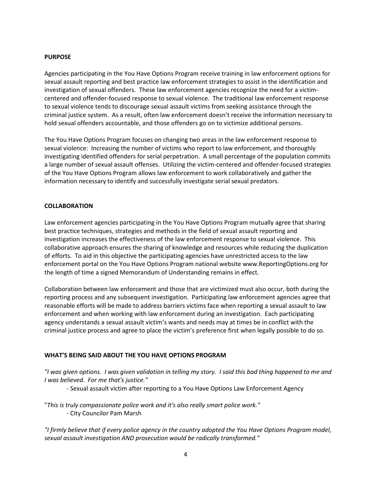### **PURPOSE**

Agencies participating in the You Have Options Program receive training in law enforcement options for sexual assault reporting and best practice law enforcement strategies to assist in the identification and investigation of sexual offenders. These law enforcement agencies recognize the need for a victimcentered and offender-focused response to sexual violence. The traditional law enforcement response to sexual violence tends to discourage sexual assault victims from seeking assistance through the criminal justice system. As a result, often law enforcement doesn't receive the information necessary to hold sexual offenders accountable, and those offenders go on to victimize additional persons.

The You Have Options Program focuses on changing two areas in the law enforcement response to sexual violence: Increasing the number of victims who report to law enforcement, and thoroughly investigating identified offenders for serial perpetration. A small percentage of the population commits a large number of sexual assault offenses. Utilizing the victim-centered and offender-focused strategies of the You Have Options Program allows law enforcement to work collaboratively and gather the information necessary to identify and successfully investigate serial sexual predators.

### **COLLABORATION**

Law enforcement agencies participating in the You Have Options Program mutually agree that sharing best practice techniques, strategies and methods in the field of sexual assault reporting and investigation increases the effectiveness of the law enforcement response to sexual violence. This collaborative approach ensures the sharing of knowledge and resources while reducing the duplication of efforts. To aid in this objective the participating agencies have unrestricted access to the law enforcement portal on the You Have Options Program national website www.ReportingOptions.org for the length of time a signed Memorandum of Understanding remains in effect.

Collaboration between law enforcement and those that are victimized must also occur, both during the reporting process and any subsequent investigation. Participating law enforcement agencies agree that reasonable efforts will be made to address barriers victims face when reporting a sexual assault to law enforcement and when working with law enforcement during an investigation. Each participating agency understands a sexual assault victim's wants and needs may at times be in conflict with the criminal justice process and agree to place the victim's preference first when legally possible to do so.

### **WHAT'S BEING SAID ABOUT THE YOU HAVE OPTIONS PROGRAM**

*"I was given options. I was given validation in telling my story. I said this bad thing happened to me and I was believed. For me that's justice."* 

- Sexual assault victim after reporting to a You Have Options Law Enforcement Agency

"*This is truly compassionate police work and it's also really smart police work."*  - City Councilor Pam Marsh

*"I firmly believe that if every police agency in the country adopted the You Have Options Program model, sexual assault investigation AND prosecution would be radically transformed."*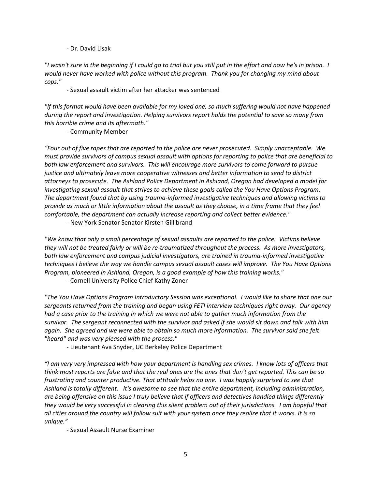### - Dr. David Lisak

*"I wasn't sure in the beginning if I could go to trial but you still put in the effort and now he's in prison. I would never have worked with police without this program. Thank you for changing my mind about cops."* 

- Sexual assault victim after her attacker was sentenced

*"If this format would have been available for my loved one, so much suffering would not have happened during the report and investigation. Helping survivors report holds the potential to save so many from this horrible crime and its aftermath."* 

- Community Member

*"Four out of five rapes that are reported to the police are never prosecuted. Simply unacceptable. We must provide survivors of campus sexual assault with options for reporting to police that are beneficial to both law enforcement and survivors. This will encourage more survivors to come forward to pursue justice and ultimately leave more cooperative witnesses and better information to send to district attorneys to prosecute. The Ashland Police Department in Ashland, Oregon had developed a model for investigating sexual assault that strives to achieve these goals called the You Have Options Program. The department found that by using trauma-informed investigative techniques and allowing victims to provide as much or little information about the assault as they choose, in a time frame that they feel comfortable, the department can actually increase reporting and collect better evidence."*

- New York Senator Senator Kirsten Gillibrand

*"We know that only a small percentage of sexual assaults are reported to the police. Victims believe they will not be treated fairly or will be re-traumatized throughout the process. As more investigators, both law enforcement and campus judicial investigators, are trained in trauma-informed investigative techniques I believe the way we handle campus sexual assault cases will improve. The You Have Options Program, pioneered in Ashland, Oregon, is a good example of how this training works."*

- Cornell University Police Chief Kathy Zoner

*"The You Have Options Program Introductory Session was exceptional. I would like to share that one our sergeants returned from the training and began using FETI interview techniques right away. Our agency had a case prior to the training in which we were not able to gather much information from the survivor. The sergeant reconnected with the survivor and asked if she would sit down and talk with him again. She agreed and we were able to obtain so much more information. The survivor said she felt "heard" and was very pleased with the process."*

- Lieutenant Ava Snyder, UC Berkeley Police Department

*"I am very very impressed with how your department is handling sex crimes. I know lots of officers that think most reports are false and that the real ones are the ones that don't get reported. This can be so frustrating and counter productive. That attitude helps no one. I was happily surprised to see that Ashland is totally different. It's awesome to see that the entire department, including administration, are being offensive on this issue I truly believe that if officers and detectives handled things differently they would be very successful in clearing this silent problem out of their jurisdictions. I am hopeful that all cities around the country will follow suit with your system once they realize that it works. It is so unique."* 

- Sexual Assault Nurse Examiner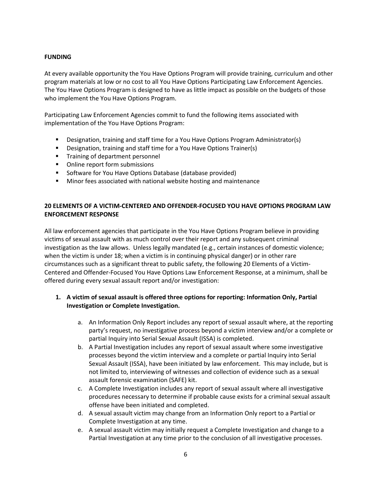### **FUNDING**

At every available opportunity the You Have Options Program will provide training, curriculum and other program materials at low or no cost to all You Have Options Participating Law Enforcement Agencies. The You Have Options Program is designed to have as little impact as possible on the budgets of those who implement the You Have Options Program.

Participating Law Enforcement Agencies commit to fund the following items associated with implementation of the You Have Options Program:

- Designation, training and staff time for a You Have Options Program Administrator(s)
- **•** Designation, training and staff time for a You Have Options Trainer(s)
- **Training of department personnel**
- Online report form submissions
- **Software for You Have Options Database (database provided)**
- **Minor fees associated with national website hosting and maintenance**

## **20 ELEMENTS OF A VICTIM-CENTERED AND OFFENDER-FOCUSED YOU HAVE OPTIONS PROGRAM LAW ENFORCEMENT RESPONSE**

All law enforcement agencies that participate in the You Have Options Program believe in providing victims of sexual assault with as much control over their report and any subsequent criminal investigation as the law allows. Unless legally mandated (e.g., certain instances of domestic violence; when the victim is under 18; when a victim is in continuing physical danger) or in other rare circumstances such as a significant threat to public safety, the following 20 Elements of a Victim-Centered and Offender-Focused You Have Options Law Enforcement Response, at a minimum, shall be offered during every sexual assault report and/or investigation:

# **1. A victim of sexual assault is offered three options for reporting: Information Only, Partial Investigation or Complete Investigation.**

- a. An Information Only Report includes any report of sexual assault where, at the reporting party's request, no investigative process beyond a victim interview and/or a complete or partial Inquiry into Serial Sexual Assault (ISSA) is completed.
- b. A Partial Investigation includes any report of sexual assault where some investigative processes beyond the victim interview and a complete or partial Inquiry into Serial Sexual Assault (ISSA), have been initiated by law enforcement. This may include, but is not limited to, interviewing of witnesses and collection of evidence such as a sexual assault forensic examination (SAFE) kit.
- c. A Complete Investigation includes any report of sexual assault where all investigative procedures necessary to determine if probable cause exists for a criminal sexual assault offense have been initiated and completed.
- d. A sexual assault victim may change from an Information Only report to a Partial or Complete Investigation at any time.
- e. A sexual assault victim may initially request a Complete Investigation and change to a Partial Investigation at any time prior to the conclusion of all investigative processes.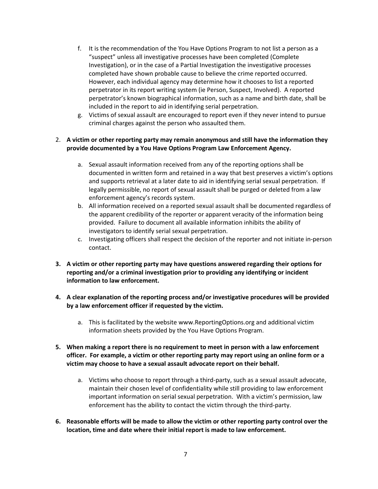- f. It is the recommendation of the You Have Options Program to not list a person as a "suspect" unless all investigative processes have been completed (Complete Investigation), or in the case of a Partial Investigation the investigative processes completed have shown probable cause to believe the crime reported occurred. However, each individual agency may determine how it chooses to list a reported perpetrator in its report writing system (ie Person, Suspect, Involved). A reported perpetrator's known biographical information, such as a name and birth date, shall be included in the report to aid in identifying serial perpetration.
- g. Victims of sexual assault are encouraged to report even if they never intend to pursue criminal charges against the person who assaulted them.

## 2. **A victim or other reporting party may remain anonymous and still have the information they provide documented by a You Have Options Program Law Enforcement Agency.**

- a. Sexual assault information received from any of the reporting options shall be documented in written form and retained in a way that best preserves a victim's options and supports retrieval at a later date to aid in identifying serial sexual perpetration. If legally permissible, no report of sexual assault shall be purged or deleted from a law enforcement agency's records system.
- b. All information received on a reported sexual assault shall be documented regardless of the apparent credibility of the reporter or apparent veracity of the information being provided. Failure to document all available information inhibits the ability of investigators to identify serial sexual perpetration.
- c. Investigating officers shall respect the decision of the reporter and not initiate in-person contact.
- **3. A victim or other reporting party may have questions answered regarding their options for reporting and/or a criminal investigation prior to providing any identifying or incident information to law enforcement.**
- **4. A clear explanation of the reporting process and/or investigative procedures will be provided by a law enforcement officer if requested by the victim.**
	- a. This is facilitated by the website www.ReportingOptions.org and additional victim information sheets provided by the You Have Options Program.
- **5. When making a report there is no requirement to meet in person with a law enforcement officer. For example, a victim or other reporting party may report using an online form or a victim may choose to have a sexual assault advocate report on their behalf.**
	- a. Victims who choose to report through a third-party, such as a sexual assault advocate, maintain their chosen level of confidentiality while still providing to law enforcement important information on serial sexual perpetration. With a victim's permission, law enforcement has the ability to contact the victim through the third-party.
- **6. Reasonable efforts will be made to allow the victim or other reporting party control over the location, time and date where their initial report is made to law enforcement.**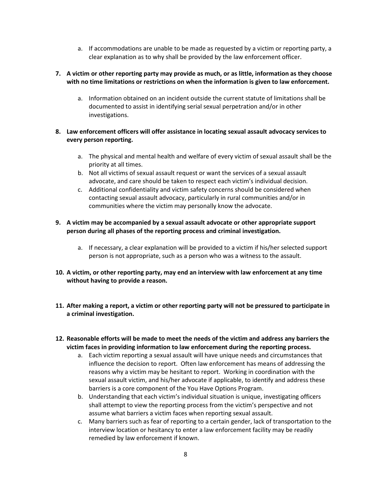a. If accommodations are unable to be made as requested by a victim or reporting party, a clear explanation as to why shall be provided by the law enforcement officer.

## **7. A victim or other reporting party may provide as much, or as little, information as they choose with no time limitations or restrictions on when the information is given to law enforcement.**

a. Information obtained on an incident outside the current statute of limitations shall be documented to assist in identifying serial sexual perpetration and/or in other investigations.

# **8. Law enforcement officers will offer assistance in locating sexual assault advocacy services to every person reporting.**

- a. The physical and mental health and welfare of every victim of sexual assault shall be the priority at all times.
- b. Not all victims of sexual assault request or want the services of a sexual assault advocate, and care should be taken to respect each victim's individual decision.
- c. Additional confidentiality and victim safety concerns should be considered when contacting sexual assault advocacy, particularly in rural communities and/or in communities where the victim may personally know the advocate.

## **9. A victim may be accompanied by a sexual assault advocate or other appropriate support person during all phases of the reporting process and criminal investigation.**

- a. If necessary, a clear explanation will be provided to a victim if his/her selected support person is not appropriate, such as a person who was a witness to the assault.
- **10. A victim, or other reporting party, may end an interview with law enforcement at any time without having to provide a reason.**
- **11. After making a report, a victim or other reporting party will not be pressured to participate in a criminal investigation.**
- **12. Reasonable efforts will be made to meet the needs of the victim and address any barriers the victim faces in providing information to law enforcement during the reporting process.**
	- a. Each victim reporting a sexual assault will have unique needs and circumstances that influence the decision to report. Often law enforcement has means of addressing the reasons why a victim may be hesitant to report. Working in coordination with the sexual assault victim, and his/her advocate if applicable, to identify and address these barriers is a core component of the You Have Options Program.
	- b. Understanding that each victim's individual situation is unique, investigating officers shall attempt to view the reporting process from the victim's perspective and not assume what barriers a victim faces when reporting sexual assault.
	- c. Many barriers such as fear of reporting to a certain gender, lack of transportation to the interview location or hesitancy to enter a law enforcement facility may be readily remedied by law enforcement if known.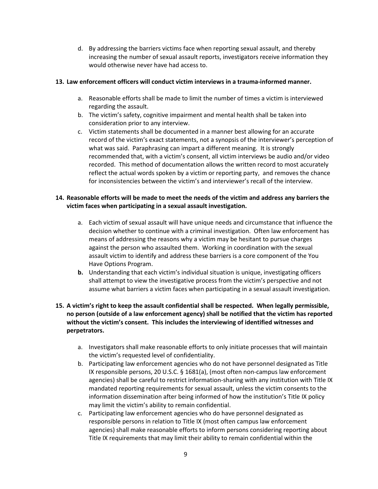d. By addressing the barriers victims face when reporting sexual assault, and thereby increasing the number of sexual assault reports, investigators receive information they would otherwise never have had access to.

## **13. Law enforcement officers will conduct victim interviews in a trauma-informed manner.**

- a. Reasonable efforts shall be made to limit the number of times a victim is interviewed regarding the assault.
- b. The victim's safety, cognitive impairment and mental health shall be taken into consideration prior to any interview.
- c. Victim statements shall be documented in a manner best allowing for an accurate record of the victim's exact statements, not a synopsis of the interviewer's perception of what was said. Paraphrasing can impart a different meaning. It is strongly recommended that, with a victim's consent, all victim interviews be audio and/or video recorded. This method of documentation allows the written record to most accurately reflect the actual words spoken by a victim or reporting party, and removes the chance for inconsistencies between the victim's and interviewer's recall of the interview.

# **14. Reasonable efforts will be made to meet the needs of the victim and address any barriers the victim faces when participating in a sexual assault investigation.**

- a. Each victim of sexual assault will have unique needs and circumstance that influence the decision whether to continue with a criminal investigation. Often law enforcement has means of addressing the reasons why a victim may be hesitant to pursue charges against the person who assaulted them. Working in coordination with the sexual assault victim to identify and address these barriers is a core component of the You Have Options Program.
- **b.** Understanding that each victim's individual situation is unique, investigating officers shall attempt to view the investigative process from the victim's perspective and not assume what barriers a victim faces when participating in a sexual assault investigation.

# **15. A victim's right to keep the assault confidential shall be respected. When legally permissible, no person (outside of a law enforcement agency) shall be notified that the victim has reported without the victim's consent. This includes the interviewing of identified witnesses and perpetrators.**

- a. Investigators shall make reasonable efforts to only initiate processes that will maintain the victim's requested level of confidentiality.
- b. Participating law enforcement agencies who do not have personnel designated as Title IX responsible persons, 20 U.S.C. § 1681(a), (most often non-campus law enforcement agencies) shall be careful to restrict information-sharing with any institution with Title IX mandated reporting requirements for sexual assault, unless the victim consents to the information dissemination after being informed of how the institution's Title IX policy may limit the victim's ability to remain confidential.
- c. Participating law enforcement agencies who do have personnel designated as responsible persons in relation to Title IX (most often campus law enforcement agencies) shall make reasonable efforts to inform persons considering reporting about Title IX requirements that may limit their ability to remain confidential within the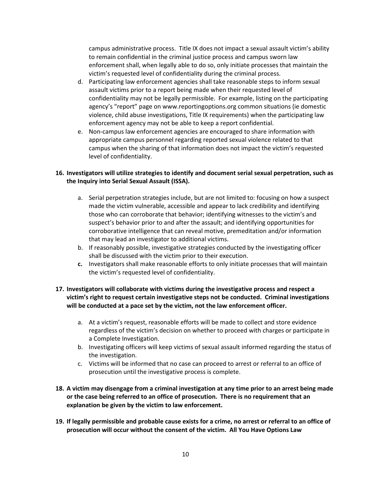campus administrative process. Title IX does not impact a sexual assault victim's ability to remain confidential in the criminal justice process and campus sworn law enforcement shall, when legally able to do so, only initiate processes that maintain the victim's requested level of confidentiality during the criminal process.

- d. Participating law enforcement agencies shall take reasonable steps to inform sexual assault victims prior to a report being made when their requested level of confidentiality may not be legally permissible. For example, listing on the participating agency's "report" page on www.reportingoptions.org common situations (ie domestic violence, child abuse investigations, Title IX requirements) when the participating law enforcement agency may not be able to keep a report confidential.
- e. Non-campus law enforcement agencies are encouraged to share information with appropriate campus personnel regarding reported sexual violence related to that campus when the sharing of that information does not impact the victim's requested level of confidentiality.

# **16. Investigators will utilize strategies to identify and document serial sexual perpetration, such as the Inquiry into Serial Sexual Assault (ISSA).**

- a. Serial perpetration strategies include, but are not limited to: focusing on how a suspect made the victim vulnerable, accessible and appear to lack credibility and identifying those who can corroborate that behavior; identifying witnesses to the victim's and suspect's behavior prior to and after the assault; and identifying opportunities for corroborative intelligence that can reveal motive, premeditation and/or information that may lead an investigator to additional victims.
- b. If reasonably possible, investigative strategies conducted by the investigating officer shall be discussed with the victim prior to their execution.
- **c.** Investigators shall make reasonable efforts to only initiate processes that will maintain the victim's requested level of confidentiality.

# **17. Investigators will collaborate with victims during the investigative process and respect a victim's right to request certain investigative steps not be conducted. Criminal investigations will be conducted at a pace set by the victim, not the law enforcement officer.**

- a. At a victim's request, reasonable efforts will be made to collect and store evidence regardless of the victim's decision on whether to proceed with charges or participate in a Complete Investigation.
- b. Investigating officers will keep victims of sexual assault informed regarding the status of the investigation.
- c. Victims will be informed that no case can proceed to arrest or referral to an office of prosecution until the investigative process is complete.
- **18. A victim may disengage from a criminal investigation at any time prior to an arrest being made or the case being referred to an office of prosecution. There is no requirement that an explanation be given by the victim to law enforcement.**
- **19. If legally permissible and probable cause exists for a crime, no arrest or referral to an office of prosecution will occur without the consent of the victim. All You Have Options Law**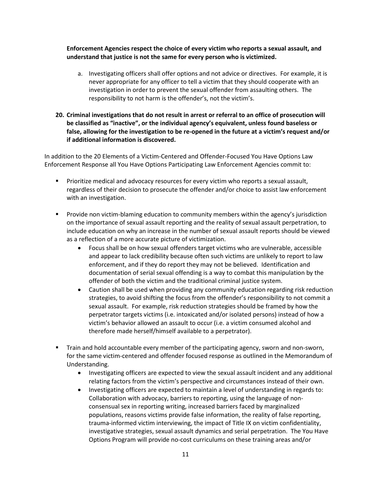**Enforcement Agencies respect the choice of every victim who reports a sexual assault, and understand that justice is not the same for every person who is victimized.**

- a. Investigating officers shall offer options and not advice or directives. For example, it is never appropriate for any officer to tell a victim that they should cooperate with an investigation in order to prevent the sexual offender from assaulting others. The responsibility to not harm is the offender's, not the victim's.
- **20. Criminal investigations that do not result in arrest or referral to an office of prosecution will be classified as "inactive", or the individual agency's equivalent, unless found baseless or false, allowing for the investigation to be re-opened in the future at a victim's request and/or if additional information is discovered.**

In addition to the 20 Elements of a Victim-Centered and Offender-Focused You Have Options Law Enforcement Response all You Have Options Participating Law Enforcement Agencies commit to:

- Prioritize medical and advocacy resources for every victim who reports a sexual assault, regardless of their decision to prosecute the offender and/or choice to assist law enforcement with an investigation.
- Provide non victim-blaming education to community members within the agency's jurisdiction on the importance of sexual assault reporting and the reality of sexual assault perpetration, to include education on why an increase in the number of sexual assault reports should be viewed as a reflection of a more accurate picture of victimization.
	- Focus shall be on how sexual offenders target victims who are vulnerable, accessible and appear to lack credibility because often such victims are unlikely to report to law enforcement, and if they do report they may not be believed. Identification and documentation of serial sexual offending is a way to combat this manipulation by the offender of both the victim and the traditional criminal justice system.
	- Caution shall be used when providing any community education regarding risk reduction strategies, to avoid shifting the focus from the offender's responsibility to not commit a sexual assault. For example, risk reduction strategies should be framed by how the perpetrator targets victims (i.e. intoxicated and/or isolated persons) instead of how a victim's behavior allowed an assault to occur (i.e. a victim consumed alcohol and therefore made herself/himself available to a perpetrator).
- **The Train and hold accountable every member of the participating agency, sworn and non-sworn,** for the same victim-centered and offender focused response as outlined in the Memorandum of Understanding.
	- Investigating officers are expected to view the sexual assault incident and any additional relating factors from the victim's perspective and circumstances instead of their own.
	- Investigating officers are expected to maintain a level of understanding in regards to: Collaboration with advocacy, barriers to reporting, using the language of nonconsensual sex in reporting writing, increased barriers faced by marginalized populations, reasons victims provide false information, the reality of false reporting, trauma-informed victim interviewing, the impact of Title IX on victim confidentiality, investigative strategies, sexual assault dynamics and serial perpetration. The You Have Options Program will provide no-cost curriculums on these training areas and/or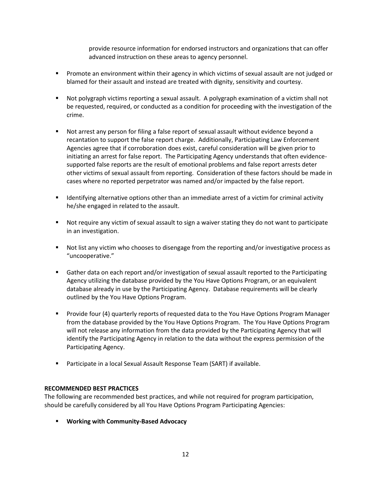provide resource information for endorsed instructors and organizations that can offer advanced instruction on these areas to agency personnel.

- **Promote an environment within their agency in which victims of sexual assault are not judged or** blamed for their assault and instead are treated with dignity, sensitivity and courtesy.
- Not polygraph victims reporting a sexual assault. A polygraph examination of a victim shall not be requested, required, or conducted as a condition for proceeding with the investigation of the crime.
- Not arrest any person for filing a false report of sexual assault without evidence beyond a recantation to support the false report charge. Additionally, Participating Law Enforcement Agencies agree that if corroboration does exist, careful consideration will be given prior to initiating an arrest for false report. The Participating Agency understands that often evidencesupported false reports are the result of emotional problems and false report arrests deter other victims of sexual assault from reporting. Consideration of these factors should be made in cases where no reported perpetrator was named and/or impacted by the false report.
- **If all identifying alternative options other than an immediate arrest of a victim for criminal activity** he/she engaged in related to the assault.
- Not require any victim of sexual assault to sign a waiver stating they do not want to participate in an investigation.
- Not list any victim who chooses to disengage from the reporting and/or investigative process as "uncooperative."
- Gather data on each report and/or investigation of sexual assault reported to the Participating Agency utilizing the database provided by the You Have Options Program, or an equivalent database already in use by the Participating Agency. Database requirements will be clearly outlined by the You Have Options Program.
- **Provide four (4) quarterly reports of requested data to the You Have Options Program Manager** from the database provided by the You Have Options Program. The You Have Options Program will not release any information from the data provided by the Participating Agency that will identify the Participating Agency in relation to the data without the express permission of the Participating Agency.
- Participate in a local Sexual Assault Response Team (SART) if available.

### **RECOMMENDED BEST PRACTICES**

The following are recommended best practices, and while not required for program participation, should be carefully considered by all You Have Options Program Participating Agencies:

**Working with Community-Based Advocacy**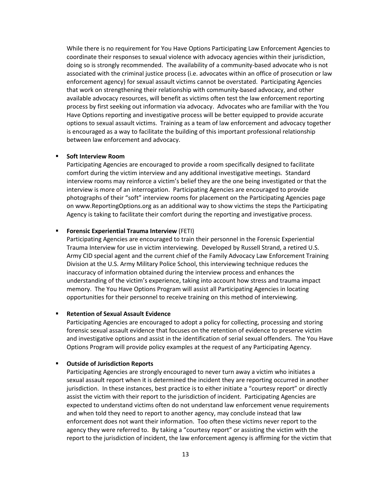While there is no requirement for You Have Options Participating Law Enforcement Agencies to coordinate their responses to sexual violence with advocacy agencies within their jurisdiction, doing so is strongly recommended. The availability of a community-based advocate who is not associated with the criminal justice process (i.e. advocates within an office of prosecution or law enforcement agency) for sexual assault victims cannot be overstated. Participating Agencies that work on strengthening their relationship with community-based advocacy, and other available advocacy resources, will benefit as victims often test the law enforcement reporting process by first seeking out information via advocacy. Advocates who are familiar with the You Have Options reporting and investigative process will be better equipped to provide accurate options to sexual assault victims. Training as a team of law enforcement and advocacy together is encouraged as a way to facilitate the building of this important professional relationship between law enforcement and advocacy.

#### **Soft Interview Room**

Participating Agencies are encouraged to provide a room specifically designed to facilitate comfort during the victim interview and any additional investigative meetings. Standard interview rooms may reinforce a victim's belief they are the one being investigated or that the interview is more of an interrogation. Participating Agencies are encouraged to provide photographs of their "soft" interview rooms for placement on the Participating Agencies page on www.ReportingOptions.org as an additional way to show victims the steps the Participating Agency is taking to facilitate their comfort during the reporting and investigative process.

### **F** Forensic Experiential Trauma Interview (FETI)

Participating Agencies are encouraged to train their personnel in the Forensic Experiential Trauma Interview for use in victim interviewing. Developed by Russell Strand, a retired U.S. Army CID special agent and the current chief of the Family Advocacy Law Enforcement Training Division at the U.S. Army Military Police School, this interviewing technique reduces the inaccuracy of information obtained during the interview process and enhances the understanding of the victim's experience, taking into account how stress and trauma impact memory. The You Have Options Program will assist all Participating Agencies in locating opportunities for their personnel to receive training on this method of interviewing.

#### **Retention of Sexual Assault Evidence**

Participating Agencies are encouraged to adopt a policy for collecting, processing and storing forensic sexual assault evidence that focuses on the retention of evidence to preserve victim and investigative options and assist in the identification of serial sexual offenders. The You Have Options Program will provide policy examples at the request of any Participating Agency.

### **Outside of Jurisdiction Reports**

Participating Agencies are strongly encouraged to never turn away a victim who initiates a sexual assault report when it is determined the incident they are reporting occurred in another jurisdiction. In these instances, best practice is to either initiate a "courtesy report" or directly assist the victim with their report to the jurisdiction of incident. Participating Agencies are expected to understand victims often do not understand law enforcement venue requirements and when told they need to report to another agency, may conclude instead that law enforcement does not want their information. Too often these victims never report to the agency they were referred to. By taking a "courtesy report" or assisting the victim with the report to the jurisdiction of incident, the law enforcement agency is affirming for the victim that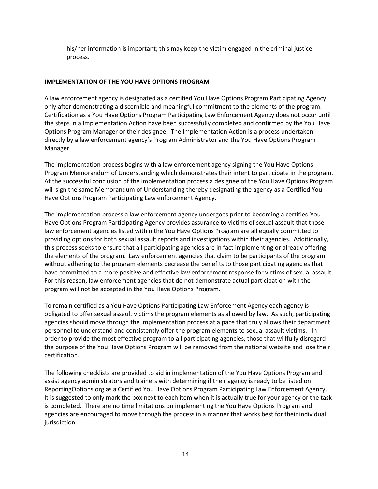his/her information is important; this may keep the victim engaged in the criminal justice process.

## **IMPLEMENTATION OF THE YOU HAVE OPTIONS PROGRAM**

A law enforcement agency is designated as a certified You Have Options Program Participating Agency only after demonstrating a discernible and meaningful commitment to the elements of the program. Certification as a You Have Options Program Participating Law Enforcement Agency does not occur until the steps in a Implementation Action have been successfully completed and confirmed by the You Have Options Program Manager or their designee. The Implementation Action is a process undertaken directly by a law enforcement agency's Program Administrator and the You Have Options Program Manager.

The implementation process begins with a law enforcement agency signing the You Have Options Program Memorandum of Understanding which demonstrates their intent to participate in the program. At the successful conclusion of the implementation process a designee of the You Have Options Program will sign the same Memorandum of Understanding thereby designating the agency as a Certified You Have Options Program Participating Law enforcement Agency.

The implementation process a law enforcement agency undergoes prior to becoming a certified You Have Options Program Participating Agency provides assurance to victims of sexual assault that those law enforcement agencies listed within the You Have Options Program are all equally committed to providing options for both sexual assault reports and investigations within their agencies. Additionally, this process seeks to ensure that all participating agencies are in fact implementing or already offering the elements of the program. Law enforcement agencies that claim to be participants of the program without adhering to the program elements decrease the benefits to those participating agencies that have committed to a more positive and effective law enforcement response for victims of sexual assault. For this reason, law enforcement agencies that do not demonstrate actual participation with the program will not be accepted in the You Have Options Program.

To remain certified as a You Have Options Participating Law Enforcement Agency each agency is obligated to offer sexual assault victims the program elements as allowed by law. As such, participating agencies should move through the implementation process at a pace that truly allows their department personnel to understand and consistently offer the program elements to sexual assault victims. In order to provide the most effective program to all participating agencies, those that willfully disregard the purpose of the You Have Options Program will be removed from the national website and lose their certification.

The following checklists are provided to aid in implementation of the You Have Options Program and assist agency administrators and trainers with determining if their agency is ready to be listed on ReportingOptions.org as a Certified You Have Options Program Participating Law Enforcement Agency. It is suggested to only mark the box next to each item when it is actually true for your agency or the task is completed. There are no time limitations on implementing the You Have Options Program and agencies are encouraged to move through the process in a manner that works best for their individual jurisdiction.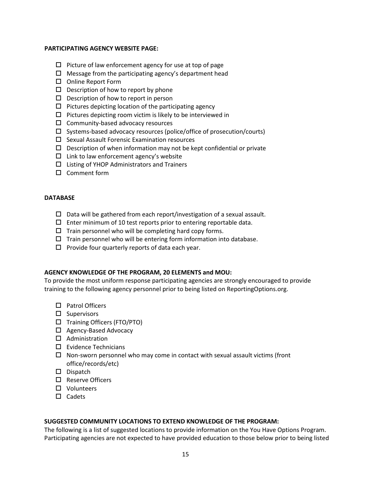### **PARTICIPATING AGENCY WEBSITE PAGE:**

- $\Box$  Picture of law enforcement agency for use at top of page
- $\Box$  Message from the participating agency's department head
- □ Online Report Form
- $\square$  Description of how to report by phone
- $\square$  Description of how to report in person
- $\Box$  Pictures depicting location of the participating agency
- $\square$  Pictures depicting room victim is likely to be interviewed in
- $\Box$  Community-based advocacy resources
- $\square$  Systems-based advocacy resources (police/office of prosecution/courts)
- $\square$  Sexual Assault Forensic Examination resources
- $\square$  Description of when information may not be kept confidential or private
- $\Box$  Link to law enforcement agency's website
- $\Box$  Listing of YHOP Administrators and Trainers
- □ Comment form

## **DATABASE**

- $\square$  Data will be gathered from each report/investigation of a sexual assault.
- $\square$  Enter minimum of 10 test reports prior to entering reportable data.
- $\Box$  Train personnel who will be completing hard copy forms.
- $\Box$  Train personnel who will be entering form information into database.
- $\square$  Provide four quarterly reports of data each year.

### **AGENCY KNOWLEDGE OF THE PROGRAM, 20 ELEMENTS and MOU:**

To provide the most uniform response participating agencies are strongly encouraged to provide training to the following agency personnel prior to being listed on ReportingOptions.org.

- □ Patrol Officers
- $\square$  Supervisors
- □ Training Officers (FTO/PTO)
- □ Agency-Based Advocacy
- $\Box$  Administration
- $\square$  Evidence Technicians
- $\Box$  Non-sworn personnel who may come in contact with sexual assault victims (front office/records/etc)
- □ Dispatch
- □ Reserve Officers
- □ Volunteers
- $\square$  Cadets

### **SUGGESTED COMMUNITY LOCATIONS TO EXTEND KNOWLEDGE OF THE PROGRAM:**

The following is a list of suggested locations to provide information on the You Have Options Program. Participating agencies are not expected to have provided education to those below prior to being listed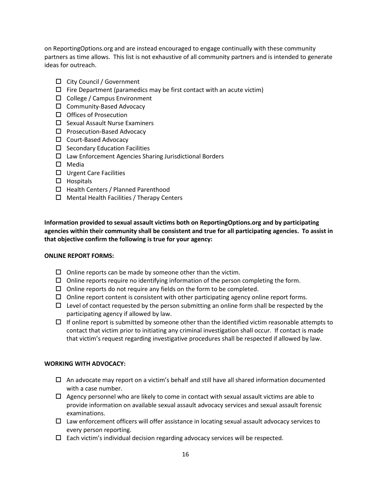on ReportingOptions.org and are instead encouraged to engage continually with these community partners as time allows. This list is not exhaustive of all community partners and is intended to generate ideas for outreach.

- City Council / Government
- $\Box$  Fire Department (paramedics may be first contact with an acute victim)
- □ College / Campus Environment
- $\Box$  Community-Based Advocacy
- $\Box$  Offices of Prosecution
- $\square$  Sexual Assault Nurse Examiners
- $\square$  Prosecution-Based Advocacy
- □ Court-Based Advocacy
- $\square$  Secondary Education Facilities
- $\Box$  Law Enforcement Agencies Sharing Jurisdictional Borders
- □ Media
- $\Box$  Urgent Care Facilities
- $\Box$  Hospitals
- $\Box$  Health Centers / Planned Parenthood
- $\Box$  Mental Health Facilities / Therapy Centers

**Information provided to sexual assault victims both on ReportingOptions.org and by participating agencies within their community shall be consistent and true for all participating agencies. To assist in that objective confirm the following is true for your agency:** 

### **ONLINE REPORT FORMS:**

- $\Box$  Online reports can be made by someone other than the victim.
- $\Box$  Online reports require no identifying information of the person completing the form.
- $\Box$  Online reports do not require any fields on the form to be completed.
- $\Box$  Online report content is consistent with other participating agency online report forms.
- $\Box$  Level of contact requested by the person submitting an online form shall be respected by the participating agency if allowed by law.
- $\Box$  If online report is submitted by someone other than the identified victim reasonable attempts to contact that victim prior to initiating any criminal investigation shall occur. If contact is made that victim's request regarding investigative procedures shall be respected if allowed by law.

### **WORKING WITH ADVOCACY:**

- $\Box$  An advocate may report on a victim's behalf and still have all shared information documented with a case number.
- $\Box$  Agency personnel who are likely to come in contact with sexual assault victims are able to provide information on available sexual assault advocacy services and sexual assault forensic examinations.
- $\Box$  Law enforcement officers will offer assistance in locating sexual assault advocacy services to every person reporting.
- $\Box$  Each victim's individual decision regarding advocacy services will be respected.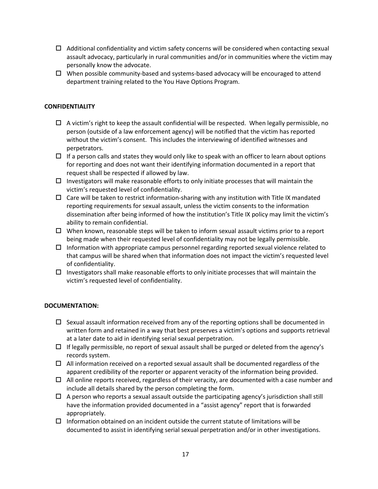- $\Box$  Additional confidentiality and victim safety concerns will be considered when contacting sexual assault advocacy, particularly in rural communities and/or in communities where the victim may personally know the advocate.
- $\Box$  When possible community-based and systems-based advocacy will be encouraged to attend department training related to the You Have Options Program.

## **CONFIDENTIALITY**

- $\Box$  A victim's right to keep the assault confidential will be respected. When legally permissible, no person (outside of a law enforcement agency) will be notified that the victim has reported without the victim's consent. This includes the interviewing of identified witnesses and perpetrators.
- $\Box$  If a person calls and states they would only like to speak with an officer to learn about options for reporting and does not want their identifying information documented in a report that request shall be respected if allowed by law.
- $\Box$  Investigators will make reasonable efforts to only initiate processes that will maintain the victim's requested level of confidentiality.
- $\Box$  Care will be taken to restrict information-sharing with any institution with Title IX mandated reporting requirements for sexual assault, unless the victim consents to the information dissemination after being informed of how the institution's Title IX policy may limit the victim's ability to remain confidential.
- $\Box$  When known, reasonable steps will be taken to inform sexual assault victims prior to a report being made when their requested level of confidentiality may not be legally permissible.
- $\Box$  Information with appropriate campus personnel regarding reported sexual violence related to that campus will be shared when that information does not impact the victim's requested level of confidentiality.
- $\Box$  Investigators shall make reasonable efforts to only initiate processes that will maintain the victim's requested level of confidentiality.

### **DOCUMENTATION:**

- $\Box$  Sexual assault information received from any of the reporting options shall be documented in written form and retained in a way that best preserves a victim's options and supports retrieval at a later date to aid in identifying serial sexual perpetration.
- $\Box$  If legally permissible, no report of sexual assault shall be purged or deleted from the agency's records system.
- $\Box$  All information received on a reported sexual assault shall be documented regardless of the apparent credibility of the reporter or apparent veracity of the information being provided.
- $\Box$  All online reports received, regardless of their veracity, are documented with a case number and include all details shared by the person completing the form.
- $\Box$  A person who reports a sexual assault outside the participating agency's jurisdiction shall still have the information provided documented in a "assist agency" report that is forwarded appropriately.
- $\Box$  Information obtained on an incident outside the current statute of limitations will be documented to assist in identifying serial sexual perpetration and/or in other investigations.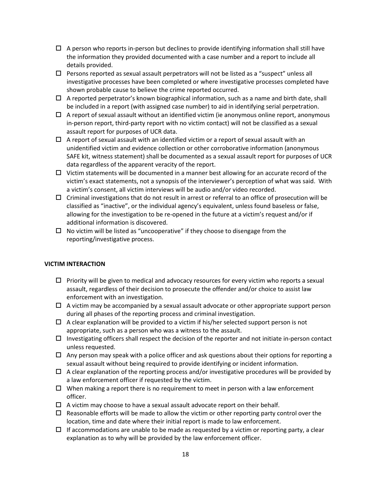- $\Box$  A person who reports in-person but declines to provide identifying information shall still have the information they provided documented with a case number and a report to include all details provided.
- $\Box$  Persons reported as sexual assault perpetrators will not be listed as a "suspect" unless all investigative processes have been completed or where investigative processes completed have shown probable cause to believe the crime reported occurred.
- $\Box$  A reported perpetrator's known biographical information, such as a name and birth date, shall be included in a report (with assigned case number) to aid in identifying serial perpetration.
- $\Box$  A report of sexual assault without an identified victim (ie anonymous online report, anonymous in-person report, third-party report with no victim contact) will not be classified as a sexual assault report for purposes of UCR data.
- $\Box$  A report of sexual assault with an identified victim or a report of sexual assault with an unidentified victim and evidence collection or other corroborative information (anonymous SAFE kit, witness statement) shall be documented as a sexual assault report for purposes of UCR data regardless of the apparent veracity of the report.
- $\Box$  Victim statements will be documented in a manner best allowing for an accurate record of the victim's exact statements, not a synopsis of the interviewer's perception of what was said. With a victim's consent, all victim interviews will be audio and/or video recorded.
- $\Box$  Criminal investigations that do not result in arrest or referral to an office of prosecution will be classified as "inactive", or the individual agency's equivalent, unless found baseless or false, allowing for the investigation to be re-opened in the future at a victim's request and/or if additional information is discovered.
- $\Box$  No victim will be listed as "uncooperative" if they choose to disengage from the reporting/investigative process.

### **VICTIM INTERACTION**

- $\Box$  Priority will be given to medical and advocacy resources for every victim who reports a sexual assault, regardless of their decision to prosecute the offender and/or choice to assist law enforcement with an investigation.
- $\Box$  A victim may be accompanied by a sexual assault advocate or other appropriate support person during all phases of the reporting process and criminal investigation.
- $\Box$  A clear explanation will be provided to a victim if his/her selected support person is not appropriate, such as a person who was a witness to the assault.
- $\Box$  Investigating officers shall respect the decision of the reporter and not initiate in-person contact unless requested.
- $\Box$  Any person may speak with a police officer and ask questions about their options for reporting a sexual assault without being required to provide identifying or incident information.
- $\Box$  A clear explanation of the reporting process and/or investigative procedures will be provided by a law enforcement officer if requested by the victim.
- $\Box$  When making a report there is no requirement to meet in person with a law enforcement officer.
- $\Box$  A victim may choose to have a sexual assault advocate report on their behalf.
- $\Box$  Reasonable efforts will be made to allow the victim or other reporting party control over the location, time and date where their initial report is made to law enforcement.
- $\Box$  If accommodations are unable to be made as requested by a victim or reporting party, a clear explanation as to why will be provided by the law enforcement officer.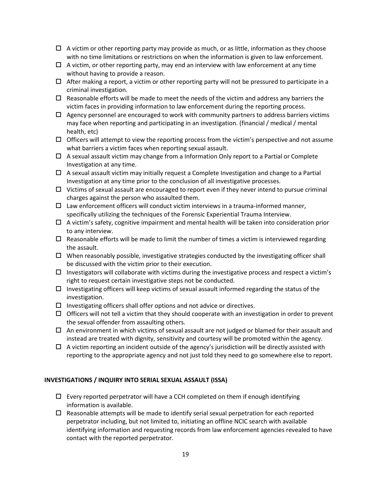- $\Box$  A victim or other reporting party may provide as much, or as little, information as they choose with no time limitations or restrictions on when the information is given to law enforcement.
- $\Box$  A victim, or other reporting party, may end an interview with law enforcement at any time without having to provide a reason.
- $\Box$  After making a report, a victim or other reporting party will not be pressured to participate in a criminal investigation.
- $\Box$  Reasonable efforts will be made to meet the needs of the victim and address any barriers the victim faces in providing information to law enforcement during the reporting process.
- $\Box$  Agency personnel are encouraged to work with community partners to address barriers victims may face when reporting and participating in an investigation. (financial / medical / mental health, etc)
- $\Box$  Officers will attempt to view the reporting process from the victim's perspective and not assume what barriers a victim faces when reporting sexual assault.
- $\Box$  A sexual assault victim may change from a Information Only report to a Partial or Complete Investigation at any time.
- $\Box$  A sexual assault victim may initially request a Complete Investigation and change to a Partial Investigation at any time prior to the conclusion of all investigative processes.
- $\Box$  Victims of sexual assault are encouraged to report even if they never intend to pursue criminal charges against the person who assaulted them.
- $\Box$  Law enforcement officers will conduct victim interviews in a trauma-informed manner, specifically utilizing the techniques of the Forensic Experiential Trauma Interview.
- $\Box$  A victim's safety, cognitive impairment and mental health will be taken into consideration prior to any interview.
- $\Box$  Reasonable efforts will be made to limit the number of times a victim is interviewed regarding the assault.
- $\Box$  When reasonably possible, investigative strategies conducted by the investigating officer shall be discussed with the victim prior to their execution.
- $\Box$  Investigators will collaborate with victims during the investigative process and respect a victim's right to request certain investigative steps not be conducted.
- $\Box$  Investigating officers will keep victims of sexual assault informed regarding the status of the investigation.
- $\Box$  Investigating officers shall offer options and not advice or directives.
- $\Box$  Officers will not tell a victim that they should cooperate with an investigation in order to prevent the sexual offender from assaulting others.
- $\Box$  An environment in which victims of sexual assault are not judged or blamed for their assault and instead are treated with dignity, sensitivity and courtesy will be promoted within the agency.
- $\Box$  A victim reporting an incident outside of the agency's jurisdiction will be directly assisted with reporting to the appropriate agency and not just told they need to go somewhere else to report.

### **INVESTIGATIONS / INQUIRY INTO SERIAL SEXUAL ASSAULT (ISSA)**

- $\Box$  Every reported perpetrator will have a CCH completed on them if enough identifying information is available.
- $\Box$  Reasonable attempts will be made to identify serial sexual perpetration for each reported perpetrator including, but not limited to, initiating an offline NCIC search with available identifying information and requesting records from law enforcement agencies revealed to have contact with the reported perpetrator.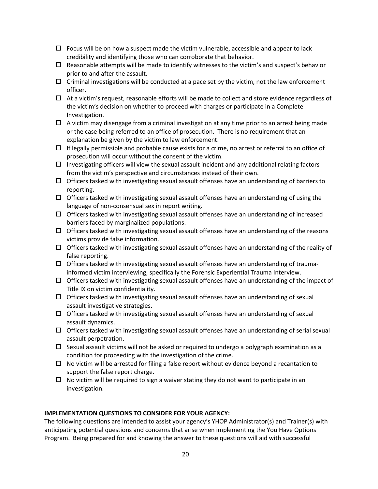- $\Box$  Focus will be on how a suspect made the victim vulnerable, accessible and appear to lack credibility and identifying those who can corroborate that behavior.
- $\Box$  Reasonable attempts will be made to identify witnesses to the victim's and suspect's behavior prior to and after the assault.
- $\Box$  Criminal investigations will be conducted at a pace set by the victim, not the law enforcement officer.
- $\Box$  At a victim's request, reasonable efforts will be made to collect and store evidence regardless of the victim's decision on whether to proceed with charges or participate in a Complete Investigation.
- $\Box$  A victim may disengage from a criminal investigation at any time prior to an arrest being made or the case being referred to an office of prosecution. There is no requirement that an explanation be given by the victim to law enforcement.
- $\Box$  If legally permissible and probable cause exists for a crime, no arrest or referral to an office of prosecution will occur without the consent of the victim.
- $\Box$  Investigating officers will view the sexual assault incident and any additional relating factors from the victim's perspective and circumstances instead of their own.
- $\Box$  Officers tasked with investigating sexual assault offenses have an understanding of barriers to reporting.
- $\Box$  Officers tasked with investigating sexual assault offenses have an understanding of using the language of non-consensual sex in report writing.
- $\Box$  Officers tasked with investigating sexual assault offenses have an understanding of increased barriers faced by marginalized populations.
- $\Box$  Officers tasked with investigating sexual assault offenses have an understanding of the reasons victims provide false information.
- $\Box$  Officers tasked with investigating sexual assault offenses have an understanding of the reality of false reporting.
- $\Box$  Officers tasked with investigating sexual assault offenses have an understanding of traumainformed victim interviewing, specifically the Forensic Experiential Trauma Interview.
- $\Box$  Officers tasked with investigating sexual assault offenses have an understanding of the impact of Title IX on victim confidentiality.
- $\Box$  Officers tasked with investigating sexual assault offenses have an understanding of sexual assault investigative strategies.
- $\Box$  Officers tasked with investigating sexual assault offenses have an understanding of sexual assault dynamics.
- $\Box$  Officers tasked with investigating sexual assault offenses have an understanding of serial sexual assault perpetration.
- $\Box$  Sexual assault victims will not be asked or required to undergo a polygraph examination as a condition for proceeding with the investigation of the crime.
- $\Box$  No victim will be arrested for filing a false report without evidence beyond a recantation to support the false report charge.
- $\Box$  No victim will be required to sign a waiver stating they do not want to participate in an investigation.

### **IMPLEMENTATION QUESTIONS TO CONSIDER FOR YOUR AGENCY:**

The following questions are intended to assist your agency's YHOP Administrator(s) and Trainer(s) with anticipating potential questions and concerns that arise when implementing the You Have Options Program. Being prepared for and knowing the answer to these questions will aid with successful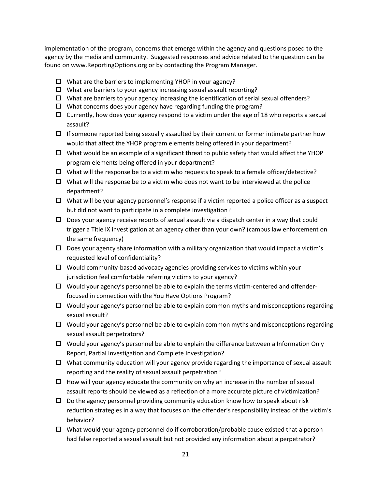implementation of the program, concerns that emerge within the agency and questions posed to the agency by the media and community. Suggested responses and advice related to the question can be found on www.ReportingOptions.org or by contacting the Program Manager.

- $\Box$  What are the barriers to implementing YHOP in your agency?
- $\Box$  What are barriers to your agency increasing sexual assault reporting?
- $\Box$  What are barriers to your agency increasing the identification of serial sexual offenders?
- $\Box$  What concerns does your agency have regarding funding the program?
- $\Box$  Currently, how does your agency respond to a victim under the age of 18 who reports a sexual assault?
- $\Box$  If someone reported being sexually assaulted by their current or former intimate partner how would that affect the YHOP program elements being offered in your department?
- $\Box$  What would be an example of a significant threat to public safety that would affect the YHOP program elements being offered in your department?
- $\Box$  What will the response be to a victim who requests to speak to a female officer/detective?
- $\Box$  What will the response be to a victim who does not want to be interviewed at the police department?
- $\Box$  What will be your agency personnel's response if a victim reported a police officer as a suspect but did not want to participate in a complete investigation?
- $\Box$  Does your agency receive reports of sexual assault via a dispatch center in a way that could trigger a Title IX investigation at an agency other than your own? (campus law enforcement on the same frequency)
- $\Box$  Does your agency share information with a military organization that would impact a victim's requested level of confidentiality?
- $\Box$  Would community-based advocacy agencies providing services to victims within your jurisdiction feel comfortable referring victims to your agency?
- $\Box$  Would your agency's personnel be able to explain the terms victim-centered and offenderfocused in connection with the You Have Options Program?
- $\Box$  Would your agency's personnel be able to explain common myths and misconceptions regarding sexual assault?
- $\Box$  Would your agency's personnel be able to explain common myths and misconceptions regarding sexual assault perpetrators?
- $\Box$  Would your agency's personnel be able to explain the difference between a Information Only Report, Partial Investigation and Complete Investigation?
- $\Box$  What community education will your agency provide regarding the importance of sexual assault reporting and the reality of sexual assault perpetration?
- $\Box$  How will your agency educate the community on why an increase in the number of sexual assault reports should be viewed as a reflection of a more accurate picture of victimization?
- $\Box$  Do the agency personnel providing community education know how to speak about risk reduction strategies in a way that focuses on the offender's responsibility instead of the victim's behavior?
- $\Box$  What would your agency personnel do if corroboration/probable cause existed that a person had false reported a sexual assault but not provided any information about a perpetrator?